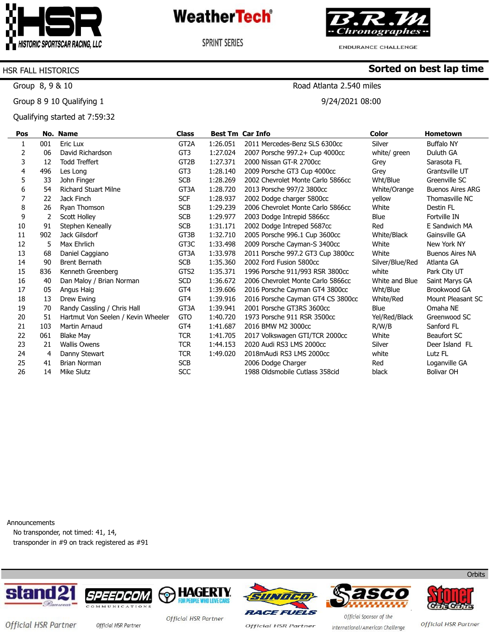

**SPRINT SERIES** 

'hronographes <del>.</del>

**Sorted on best lap time**

**ENDURANCE CHALLENGE** 

### HSR FALL HISTORICS

Group 8, 9 & 10

Group 8 9 10 Qualifying 1

Qualifying started at 7:59:32

Road Atlanta 2.540 miles

9/24/2021 08:00

| Pos |     | No. Name                           | <b>Class</b>      |          | <b>Best Tm Car Info</b>           | <b>Color</b>    | <b>Hometown</b>         |
|-----|-----|------------------------------------|-------------------|----------|-----------------------------------|-----------------|-------------------------|
| 1   | 001 | Eric Lux                           | GT <sub>2</sub> A | 1:26.051 | 2011 Mercedes-Benz SLS 6300cc     | Silver          | <b>Buffalo NY</b>       |
| 2   | 06  | David Richardson                   | GT3               | 1:27.024 | 2007 Porsche 997.2+ Cup 4000cc    | white/ green    | Duluth GA               |
| 3   | 12  | <b>Todd Treffert</b>               | GT <sub>2</sub> B | 1:27.371 | 2000 Nissan GT-R 2700cc           | Grey            | Sarasota FL             |
| 4   | 496 | Les Long                           | GT <sub>3</sub>   | 1:28.140 | 2009 Porsche GT3 Cup 4000cc       | Grey            | Grantsville UT          |
| 5   | 33  | John Finger                        | <b>SCB</b>        | 1:28.269 | 2002 Chevrolet Monte Carlo 5866cc | Wht/Blue        | Greenville SC           |
| 6   | 54  | <b>Richard Stuart Milne</b>        | GT3A              | 1:28.720 | 2013 Porsche 997/2 3800cc         | White/Orange    | <b>Buenos Aires ARG</b> |
| 7   | 22  | Jack Finch                         | <b>SCF</b>        | 1:28.937 | 2002 Dodge charger 5800cc         | yellow          | Thomasville NC          |
| 8   | 26  | Ryan Thomson                       | <b>SCB</b>        | 1:29.239 | 2006 Chevrolet Monte Carlo 5866cc | White           | Destin FL               |
| 9   | 2   | Scott Holley                       | <b>SCB</b>        | 1:29.977 | 2003 Dodge Intrepid 5866cc        | Blue            | Fortville IN            |
| 10  | 91  | Stephen Keneally                   | <b>SCB</b>        | 1:31.171 | 2002 Dodge Intreped 5687cc        | Red             | E Sandwich MA           |
| 11  | 902 | Jack Gilsdorf                      | GT3B              | 1:32.710 | 2005 Porsche 996.1 Cup 3600cc     | White/Black     | Gainsville GA           |
| 12  | 5   | Max Ehrlich                        | GT3C              | 1:33.498 | 2009 Porsche Cayman-S 3400cc      | White           | New York NY             |
| 13  | 68  | Daniel Caggiano                    | GT3A              | 1:33.978 | 2011 Porsche 997.2 GT3 Cup 3800cc | White           | <b>Buenos Aires NA</b>  |
| 14  | 90  | <b>Brent Bernath</b>               | <b>SCB</b>        | 1:35.360 | 2002 Ford Fusion 5800cc           | Silver/Blue/Red | Atlanta GA              |
| 15  | 836 | Kenneth Greenberg                  | GTS <sub>2</sub>  | 1:35.371 | 1996 Porsche 911/993 RSR 3800cc   | white           | Park City UT            |
| 16  | 40  | Dan Maloy / Brian Norman           | SCD               | 1:36.672 | 2006 Chevrolet Monte Carlo 5866cc | White and Blue  | Saint Marys GA          |
| 17  | 05  | Angus Haig                         | GT <sub>4</sub>   | 1:39.606 | 2016 Porsche Cayman GT4 3800cc    | Wht/Blue        | Brookwood GA            |
| 18  | 13  | Drew Ewing                         | GT <sub>4</sub>   | 1:39.916 | 2016 Porsche Cayman GT4 CS 3800cc | White/Red       | Mount Pleasant SC       |
| 19  | 70  | Randy Cassling / Chris Hall        | GT3A              | 1:39.941 | 2001 Porsche GT3RS 3600cc         | Blue            | Omaha NE                |
| 20  | 51  | Hartmut Von Seelen / Kevin Wheeler | <b>GTO</b>        | 1:40.720 | 1973 Porsche 911 RSR 3500cc       | Yel/Red/Black   | Greenwood SC            |
| 21  | 103 | Martin Arnaud                      | GT <sub>4</sub>   | 1:41.687 | 2016 BMW M2 3000cc                | R/W/B           | Sanford FL              |
| 22  | 061 | <b>Blake May</b>                   | <b>TCR</b>        | 1:41.705 | 2017 Volkswagen GTI/TCR 2000cc    | White           | Beaufort SC             |
| 23  | 21  | <b>Wallis Owens</b>                | <b>TCR</b>        | 1:44.153 | 2020 Audi RS3 LMS 2000cc          | Silver          | Deer Island FL          |
| 24  | 4   | Danny Stewart                      | <b>TCR</b>        | 1:49.020 | 2018 mAudi RS3 LMS 2000cc         | white           | Lutz FL                 |
| 25  | 41  | <b>Brian Norman</b>                | <b>SCB</b>        |          | 2006 Dodge Charger                | Red             | Loganville GA           |
| 26  | 14  | Mike Slutz                         | SCC               |          | 1988 Oldsmobile Cutlass 358cid    | black           | <b>Bolivar OH</b>       |

Announcements

No transponder, not timed: 41, 14, transponder in #9 on track registered as #91













Official HSR Partner official HSR Partner

Official HSR Partner

**Official HSR Partner** 

Official Sponsor of the International/American Challenge

Official HSR Partner

**Orbits**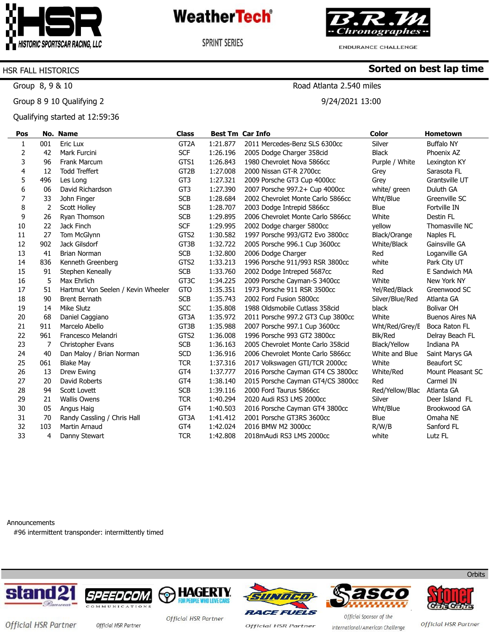

**SPRINT SERIES** 

'hronographes -

**ENDURANCE CHALLENGE** 

**Sorted on best lap time**

### HSR FALL HISTORICS

Group 8, 9 & 10

Group 8 9 10 Qualifying 2

Qualifying started at 12:59:36

### Road Atlanta 2.540 miles

9/24/2021 13:00

| Pos |     | No. Name                           | <b>Class</b>      |          | <b>Best Tm Car Info</b>           | <b>Color</b>    | <b>Hometown</b>        |
|-----|-----|------------------------------------|-------------------|----------|-----------------------------------|-----------------|------------------------|
| 1   | 001 | Eric Lux                           | GT <sub>2</sub> A | 1:21.877 | 2011 Mercedes-Benz SLS 6300cc     | Silver          | <b>Buffalo NY</b>      |
| 2   | 42  | Mark Furcini                       | <b>SCF</b>        | 1:26.196 | 2005 Dodge Charger 358cid         | <b>Black</b>    | Phoenix AZ             |
| 3   | 96  | Frank Marcum                       | GTS1              | 1:26.843 | 1980 Chevrolet Nova 5866cc        | Purple / White  | Lexington KY           |
| 4   | 12  | <b>Todd Treffert</b>               | GT <sub>2</sub> B | 1:27.008 | 2000 Nissan GT-R 2700cc           | Grey            | Sarasota FL            |
| 5   | 496 | Les Long                           | GT3               | 1:27.321 | 2009 Porsche GT3 Cup 4000cc       | Grey            | Grantsville UT         |
| 6   | 06  | David Richardson                   | GT3               | 1:27.390 | 2007 Porsche 997.2+ Cup 4000cc    | white/ green    | Duluth GA              |
| 7   | 33  | John Finger                        | <b>SCB</b>        | 1:28.684 | 2002 Chevrolet Monte Carlo 5866cc | Wht/Blue        | Greenville SC          |
| 8   | 2   | Scott Holley                       | <b>SCB</b>        | 1:28.707 | 2003 Dodge Intrepid 5866cc        | Blue            | Fortville IN           |
| 9   | 26  | Ryan Thomson                       | <b>SCB</b>        | 1:29.895 | 2006 Chevrolet Monte Carlo 5866cc | White           | Destin FL              |
| 10  | 22  | Jack Finch                         | <b>SCF</b>        | 1:29.995 | 2002 Dodge charger 5800cc         | yellow          | Thomasville NC         |
| 11  | 27  | Tom McGlynn                        | GTS2              | 1:30.582 | 1997 Porsche 993/GT2 Evo 3800cc   | Black/Orange    | Naples FL              |
| 12  | 902 | Jack Gilsdorf                      | GT3B              | 1:32.722 | 2005 Porsche 996.1 Cup 3600cc     | White/Black     | Gainsville GA          |
| 13  | 41  | <b>Brian Norman</b>                | <b>SCB</b>        | 1:32.800 | 2006 Dodge Charger                | Red             | Loganville GA          |
| 14  | 836 | Kenneth Greenberg                  | GTS2              | 1:33.213 | 1996 Porsche 911/993 RSR 3800cc   | white           | Park City UT           |
| 15  | 91  | Stephen Keneally                   | <b>SCB</b>        | 1:33.760 | 2002 Dodge Intreped 5687cc        | Red             | E Sandwich MA          |
| 16  | 5   | Max Ehrlich                        | GT3C              | 1:34.225 | 2009 Porsche Cayman-S 3400cc      | White           | New York NY            |
| 17  | 51  | Hartmut Von Seelen / Kevin Wheeler | <b>GTO</b>        | 1:35.351 | 1973 Porsche 911 RSR 3500cc       | Yel/Red/Black   | Greenwood SC           |
| 18  | 90  | <b>Brent Bernath</b>               | <b>SCB</b>        | 1:35.743 | 2002 Ford Fusion 5800cc           | Silver/Blue/Red | Atlanta GA             |
| 19  | 14  | Mike Slutz                         | <b>SCC</b>        | 1:35.808 | 1988 Oldsmobile Cutlass 358cid    | black           | <b>Bolivar OH</b>      |
| 20  | 68  | Daniel Caggiano                    | GT3A              | 1:35.972 | 2011 Porsche 997.2 GT3 Cup 3800cc | White           | <b>Buenos Aires NA</b> |
| 21  | 911 | Marcelo Abello                     | GT3B              | 1:35.988 | 2007 Porsche 997.1 Cup 3600cc     | Wht/Red/Grey/E  | Boca Raton FL          |
| 22  | 961 | Francesco Melandri                 | GTS <sub>2</sub>  | 1:36.008 | 1996 Porsche 993 GT2 3800cc       | <b>Blk/Red</b>  | Delray Beach FL        |
| 23  | 7   | Christopher Evans                  | <b>SCB</b>        | 1:36.163 | 2005 Chevrolet Monte Carlo 358cid | Black/Yellow    | Indiana PA             |
| 24  | 40  | Dan Maloy / Brian Norman           | <b>SCD</b>        | 1:36.916 | 2006 Chevrolet Monte Carlo 5866cc | White and Blue  | Saint Marys GA         |
| 25  | 061 | Blake May                          | <b>TCR</b>        | 1:37.316 | 2017 Volkswagen GTI/TCR 2000cc    | White           | <b>Beaufort SC</b>     |
| 26  | 13  | Drew Ewing                         | GT <sub>4</sub>   | 1:37.777 | 2016 Porsche Cayman GT4 CS 3800cc | White/Red       | Mount Pleasant SC      |
| 27  | 20  | David Roberts                      | GT4               | 1:38.140 | 2015 Porsche Cayman GT4/CS 3800cc | Red             | Carmel IN              |
| 28  | 94  | Scott Lovett                       | <b>SCB</b>        | 1:39.116 | 2000 Ford Taurus 5866cc           | Red/Yellow/Blac | Atlanta GA             |
| 29  | 21  | <b>Wallis Owens</b>                | <b>TCR</b>        | 1:40.294 | 2020 Audi RS3 LMS 2000cc          | Silver          | Deer Island FL         |
| 30  | 05  | Angus Haig                         | GT4               | 1:40.503 | 2016 Porsche Cayman GT4 3800cc    | Wht/Blue        | Brookwood GA           |
| 31  | 70  | Randy Cassling / Chris Hall        | GT3A              | 1:41.412 | 2001 Porsche GT3RS 3600cc         | Blue            | Omaha NE               |
| 32  | 103 | <b>Martin Arnaud</b>               | GT4               | 1:42.024 | 2016 BMW M2 3000cc                | R/W/B           | Sanford FL             |
| 33  | 4   | Danny Stewart                      | <b>TCR</b>        | 1:42.808 | 2018mAudi RS3 LMS 2000cc          | white           | Lutz FL                |

Announcements

#96 intermittent transponder: intermittently timed













Official HSR Partner official HSR Partner

Official HSR Partner

**Official HSR Partner** 

Official Sponsor of the International/American Challenge

Official HSR Partner

**Orbits**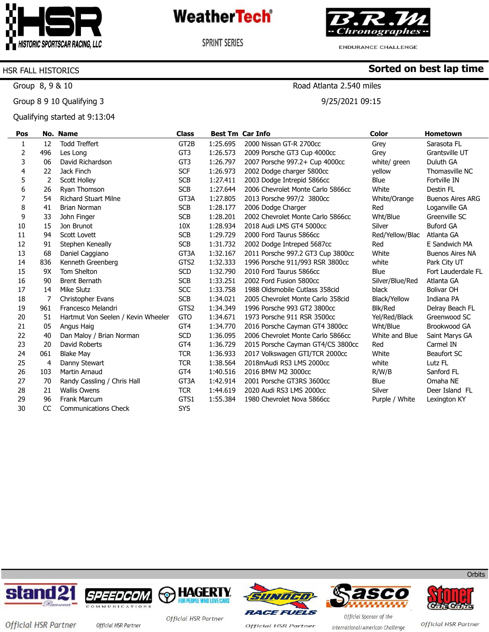

**SPRINT SERIES** 

'hronographes -

**Sorted on best lap time**

ENDURANCE CHALLENGE

### HSR FALL HISTORICS

Group 8, 9 & 10

Group 8 9 10 Qualifying 3

Qualifying started at 9:13:04

### Road Atlanta 2.540 miles

9/25/2021 09:15

| Pos |           | No. Name                           | <b>Class</b>      |          | <b>Best Tm Car Info</b>           | Color           | <b>Hometown</b>         |
|-----|-----------|------------------------------------|-------------------|----------|-----------------------------------|-----------------|-------------------------|
| 1   | 12        | <b>Todd Treffert</b>               | GT <sub>2</sub> B | 1:25.695 | 2000 Nissan GT-R 2700cc           | Grey            | Sarasota FL             |
| 2   | 496       | Les Long                           | GT <sub>3</sub>   | 1:26.573 | 2009 Porsche GT3 Cup 4000cc       | Grey            | Grantsville UT          |
| 3   | 06        | David Richardson                   | GT <sub>3</sub>   | 1:26.797 | 2007 Porsche 997.2+ Cup 4000cc    | white/ green    | Duluth GA               |
| 4   | 22        | Jack Finch                         | <b>SCF</b>        | 1:26.973 | 2002 Dodge charger 5800cc         | yellow          | Thomasville NC          |
| 5   | 2         | <b>Scott Holley</b>                | <b>SCB</b>        | 1:27.411 | 2003 Dodge Intrepid 5866cc        | <b>Blue</b>     | Fortville IN            |
| 6   | 26        | Ryan Thomson                       | <b>SCB</b>        | 1:27.644 | 2006 Chevrolet Monte Carlo 5866cc | White           | Destin FL               |
| 7   | 54        | <b>Richard Stuart Milne</b>        | GT3A              | 1:27.805 | 2013 Porsche 997/2 3800cc         | White/Orange    | <b>Buenos Aires ARG</b> |
| 8   | 41        | <b>Brian Norman</b>                | <b>SCB</b>        | 1:28.177 | 2006 Dodge Charger                | Red             | Loganville GA           |
| 9   | 33        | John Finger                        | <b>SCB</b>        | 1:28.201 | 2002 Chevrolet Monte Carlo 5866cc | Wht/Blue        | Greenville SC           |
| 10  | 15        | Jon Brunot                         | 10 <sub>X</sub>   | 1:28.934 | 2018 Audi LMS GT4 5000cc          | Silver          | <b>Buford GA</b>        |
| 11  | 94        | Scott Lovett                       | <b>SCB</b>        | 1:29.729 | 2000 Ford Taurus 5866cc           | Red/Yellow/Blac | Atlanta GA              |
| 12  | 91        | Stephen Keneally                   | <b>SCB</b>        | 1:31.732 | 2002 Dodge Intreped 5687cc        | Red             | E Sandwich MA           |
| 13  | 68        | Daniel Caggiano                    | GT3A              | 1:32.167 | 2011 Porsche 997.2 GT3 Cup 3800cc | White           | <b>Buenos Aires NA</b>  |
| 14  | 836       | Kenneth Greenberg                  | GTS <sub>2</sub>  | 1:32.333 | 1996 Porsche 911/993 RSR 3800cc   | white           | Park City UT            |
| 15  | 9X        | Tom Shelton                        | <b>SCD</b>        | 1:32.790 | 2010 Ford Taurus 5866cc           | Blue            | Fort Lauderdale FL      |
| 16  | 90        | <b>Brent Bernath</b>               | <b>SCB</b>        | 1:33.251 | 2002 Ford Fusion 5800cc           | Silver/Blue/Red | Atlanta GA              |
| 17  | 14        | Mike Slutz                         | SCC               | 1:33.758 | 1988 Oldsmobile Cutlass 358cid    | black           | <b>Bolivar OH</b>       |
| 18  | 7         | Christopher Evans                  | <b>SCB</b>        | 1:34.021 | 2005 Chevrolet Monte Carlo 358cid | Black/Yellow    | Indiana PA              |
| 19  | 961       | Francesco Melandri                 | GTS2              | 1:34.349 | 1996 Porsche 993 GT2 3800cc       | Blk/Red         | Delray Beach FL         |
| 20  | 51        | Hartmut Von Seelen / Kevin Wheeler | <b>GTO</b>        | 1:34.671 | 1973 Porsche 911 RSR 3500cc       | Yel/Red/Black   | Greenwood SC            |
| 21  | 05        | Angus Haig                         | GT <sub>4</sub>   | 1:34.770 | 2016 Porsche Cayman GT4 3800cc    | Wht/Blue        | Brookwood GA            |
| 22  | 40        | Dan Maloy / Brian Norman           | <b>SCD</b>        | 1:36.095 | 2006 Chevrolet Monte Carlo 5866cc | White and Blue  | Saint Marys GA          |
| 23  | 20        | David Roberts                      | GT4               | 1:36.729 | 2015 Porsche Cayman GT4/CS 3800cc | Red             | Carmel IN               |
| 24  | 061       | <b>Blake May</b>                   | <b>TCR</b>        | 1:36.933 | 2017 Volkswagen GTI/TCR 2000cc    | White           | Beaufort SC             |
| 25  | 4         | Danny Stewart                      | <b>TCR</b>        | 1:38.564 | 2018 mAudi RS3 LMS 2000cc         | white           | Lutz FL                 |
| 26  | 103       | <b>Martin Arnaud</b>               | GT <sub>4</sub>   | 1:40.516 | 2016 BMW M2 3000cc                | R/W/B           | Sanford FL              |
| 27  | 70        | Randy Cassling / Chris Hall        | GT3A              | 1:42.914 | 2001 Porsche GT3RS 3600cc         | Blue            | Omaha NE                |
| 28  | 21        | <b>Wallis Owens</b>                | <b>TCR</b>        | 1:44.619 | 2020 Audi RS3 LMS 2000cc          | Silver          | Deer Island FL          |
| 29  | 96        | <b>Frank Marcum</b>                | GTS1              | 1:55.384 | 1980 Chevrolet Nova 5866cc        | Purple / White  | Lexington KY            |
| 30  | <b>CC</b> | <b>Communications Check</b>        | <b>SYS</b>        |          |                                   |                 |                         |













**Orbits** 

Official HSR Partner official HSR Partner

Official HSR Partner

**Official HSR Partner** 

Official Sponsor of the International/American Challenge

Official HSR Partner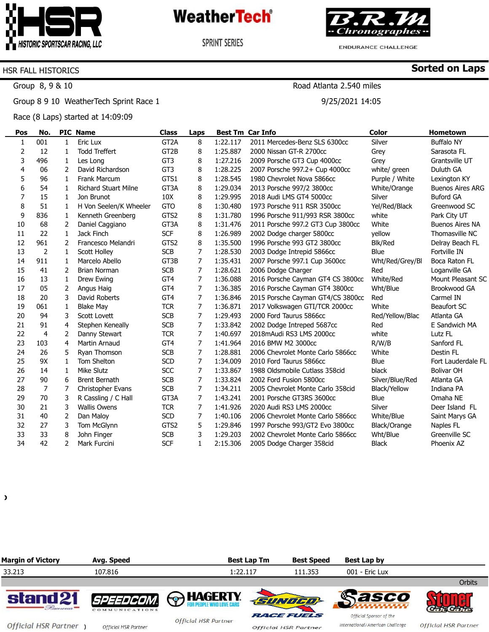

**SPRINT SERIES** 



**ENDURANCE CHALLENGE** 

**Sorted on Laps**

#### HSR FALL HISTORICS

Group 8, 9 & 10

Group 8 9 10 WeatherTech Sprint Race 1

Race (8 Laps) started at 14:09:09

### Road Atlanta 2.540 miles

9/25/2021 14:05

| Pos | No.            |                | <b>PIC Name</b>             | <b>Class</b>      | Laps |          | <b>Best Tm Car Info</b>           | <b>Color</b>    | <b>Hometown</b>         |
|-----|----------------|----------------|-----------------------------|-------------------|------|----------|-----------------------------------|-----------------|-------------------------|
| 1   | 001            | $\mathbf{1}$   | Eric Lux                    | GT <sub>2</sub> A | 8    | 1:22.117 | 2011 Mercedes-Benz SLS 6300cc     | Silver          | <b>Buffalo NY</b>       |
| 2   | 12             | 1              | <b>Todd Treffert</b>        | GT2B              | 8    | 1:25.887 | 2000 Nissan GT-R 2700cc           | Grey            | Sarasota FL             |
| 3   | 496            | $\mathbf{1}$   | Les Long                    | GT <sub>3</sub>   | 8    | 1:27.216 | 2009 Porsche GT3 Cup 4000cc       | Grey            | Grantsville UT          |
| 4   | 06             | 2              | David Richardson            | GT3               | 8    | 1:28.225 | 2007 Porsche 997.2+ Cup 4000cc    | white/ green    | Duluth GA               |
| 5   | 96             | $\mathbf{1}$   | <b>Frank Marcum</b>         | GTS1              | 8    | 1:28.545 | 1980 Chevrolet Nova 5866cc        | Purple / White  | Lexington KY            |
| 6   | 54             | 1              | <b>Richard Stuart Milne</b> | GT3A              | 8    | 1:29.034 | 2013 Porsche 997/2 3800cc         | White/Orange    | <b>Buenos Aires ARG</b> |
| 7   | 15             | 1              | Jon Brunot                  | 10 <sub>X</sub>   | 8    | 1:29.995 | 2018 Audi LMS GT4 5000cc          | Silver          | <b>Buford GA</b>        |
| 8   | 51             | 1              | H Von Seelen/K Wheeler      | <b>GTO</b>        | 8    | 1:30.480 | 1973 Porsche 911 RSR 3500cc       | Yel/Red/Black   | Greenwood SC            |
| 9   | 836            | $\mathbf{1}$   | Kenneth Greenberg           | GTS2              | 8    | 1:31.780 | 1996 Porsche 911/993 RSR 3800cc   | white           | Park City UT            |
| 10  | 68             | 2              | Daniel Caggiano             | GT3A              | 8    | 1:31.476 | 2011 Porsche 997.2 GT3 Cup 3800cc | White           | <b>Buenos Aires NA</b>  |
| 11  | 22             | 1              | Jack Finch                  | <b>SCF</b>        | 8    | 1:26.989 | 2002 Dodge charger 5800cc         | yellow          | Thomasville NC          |
| 12  | 961            | 2              | Francesco Melandri          | GTS2              | 8    | 1:35.500 | 1996 Porsche 993 GT2 3800cc       | <b>Blk/Red</b>  | Delray Beach FL         |
| 13  | $\overline{2}$ | $\mathbf{1}$   | <b>Scott Holley</b>         | <b>SCB</b>        | 7    | 1:28.530 | 2003 Dodge Intrepid 5866cc        | Blue            | Fortville IN            |
| 14  | 911            | 1              | Marcelo Abello              | GT3B              | 7    | 1:35.431 | 2007 Porsche 997.1 Cup 3600cc     | Wht/Red/Grey/Bl | Boca Raton FL           |
| 15  | 41             | 2              | <b>Brian Norman</b>         | <b>SCB</b>        | 7    | 1:28.621 | 2006 Dodge Charger                | Red             | Loganville GA           |
| 16  | 13             | $\mathbf{1}$   | Drew Ewing                  | GT <sub>4</sub>   | 7    | 1:36.088 | 2016 Porsche Cayman GT4 CS 3800cc | White/Red       | Mount Pleasant SC       |
| 17  | 05             | 2              | Angus Haig                  | GT4               | 7    | 1:36.385 | 2016 Porsche Cayman GT4 3800cc    | Wht/Blue        | Brookwood GA            |
| 18  | 20             | 3              | David Roberts               | GT <sub>4</sub>   | 7    | 1:36.846 | 2015 Porsche Cayman GT4/CS 3800cc | Red             | Carmel IN               |
| 19  | 061            | $\mathbf{1}$   | <b>Blake May</b>            | <b>TCR</b>        | 7    | 1:36.871 | 2017 Volkswagen GTI/TCR 2000cc    | White           | Beaufort SC             |
| 20  | 94             | 3              | Scott Lovett                | <b>SCB</b>        | 7    | 1:29.493 | 2000 Ford Taurus 5866cc           | Red/Yellow/Blac | Atlanta GA              |
| 21  | 91             | 4              | Stephen Keneally            | <b>SCB</b>        | 7    | 1:33.842 | 2002 Dodge Intreped 5687cc        | Red             | E Sandwich MA           |
| 22  | 4              | 2              | Danny Stewart               | <b>TCR</b>        | 7    | 1:40.697 | 2018 mAudi RS3 LMS 2000 cc        | white           | Lutz FL                 |
| 23  | 103            | 4              | Martin Arnaud               | GT <sub>4</sub>   | 7    | 1:41.964 | 2016 BMW M2 3000cc                | R/W/B           | Sanford FL              |
| 24  | 26             | 5              | Ryan Thomson                | <b>SCB</b>        | 7    | 1:28.881 | 2006 Chevrolet Monte Carlo 5866cc | White           | Destin FL               |
| 25  | 9X             | 1              | Tom Shelton                 | <b>SCD</b>        | 7    | 1:34.009 | 2010 Ford Taurus 5866cc           | Blue            | Fort Lauderdale FL      |
| 26  | 14             | $\mathbf{1}$   | <b>Mike Slutz</b>           | <b>SCC</b>        | 7    | 1:33.867 | 1988 Oldsmobile Cutlass 358cid    | black           | <b>Bolivar OH</b>       |
| 27  | 90             | 6              | <b>Brent Bernath</b>        | <b>SCB</b>        | 7    | 1:33.824 | 2002 Ford Fusion 5800cc           | Silver/Blue/Red | Atlanta GA              |
| 28  | $\overline{7}$ | 7              | <b>Christopher Evans</b>    | <b>SCB</b>        | 7    | 1:34.211 | 2005 Chevrolet Monte Carlo 358cid | Black/Yellow    | Indiana PA              |
| 29  | 70             | 3              | R Cassling / C Hall         | GT3A              | 7    | 1:43.241 | 2001 Porsche GT3RS 3600cc         | Blue            | Omaha NE                |
| 30  | 21             | 3              | <b>Wallis Owens</b>         | <b>TCR</b>        | 7    | 1:41.926 | 2020 Audi RS3 LMS 2000cc          | Silver          | Deer Island FL          |
| 31  | 40             | 2              | Dan Maloy                   | <b>SCD</b>        | 7    | 1:40.106 | 2006 Chevrolet Monte Carlo 5866cc | White/Blue      | Saint Marys GA          |
| 32  | 27             | 3              | Tom McGlynn                 | GTS2              | 5    | 1:29.846 | 1997 Porsche 993/GT2 Evo 3800cc   | Black/Orange    | Naples FL               |
| 33  | 33             | 8              | John Finger                 | <b>SCB</b>        | 3    | 1:29.203 | 2002 Chevrolet Monte Carlo 5866cc | Wht/Blue        | Greenville SC           |
| 34  | 42             | $\overline{2}$ | Mark Furcini                | <b>SCF</b>        | 1    | 2:15.306 | 2005 Dodge Charger 358cid         | <b>Black</b>    | Phoenix AZ              |

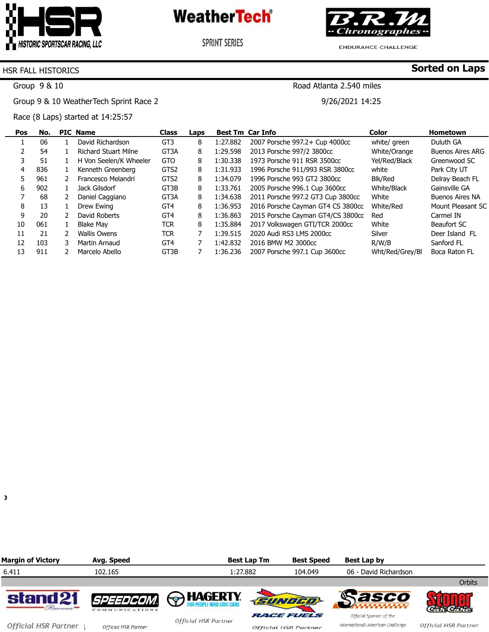

**SPRINT SERIES** 



**ENDURANCE CHALLENGE** 

Road Atlanta 2.540 miles

9/26/2021 14:25

**Sorted on Laps**

#### HSR FALL HISTORICS

Group 9 & 10

Group 9 & 10 WeatherTech Sprint Race 2

Race (8 Laps) started at 14:25:57

| Pos | No. |               | <b>PIC Name</b>             | <b>Class</b>     | Laps |          | <b>Best Tm Car Info</b>           | Color           | <b>Hometown</b>         |
|-----|-----|---------------|-----------------------------|------------------|------|----------|-----------------------------------|-----------------|-------------------------|
|     | 06  |               | David Richardson            | GT <sub>3</sub>  | 8    | 1:27.882 | 2007 Porsche 997.2+ Cup 4000cc    | white/ green    | Duluth GA               |
|     | 54  |               | <b>Richard Stuart Milne</b> | GT3A             | 8    | 1:29.598 | 2013 Porsche 997/2 3800cc         | White/Orange    | <b>Buenos Aires ARG</b> |
|     | 51  |               | H Von Seelen/K Wheeler      | GTO              | 8    | 1:30.338 | 1973 Porsche 911 RSR 3500cc       | Yel/Red/Black   | Greenwood SC            |
| 4   | 836 |               | Kenneth Greenberg           | GTS <sub>2</sub> | 8    | 1:31.933 | 1996 Porsche 911/993 RSR 3800cc   | white           | Park City UT            |
|     | 961 | $\mathcal{P}$ | Francesco Melandri          | GTS <sub>2</sub> | 8    | 1:34.079 | 1996 Porsche 993 GT2 3800cc       | Blk/Red         | Delray Beach FL         |
| 6   | 902 |               | Jack Gilsdorf               | GT3B             | 8    | 1:33.761 | 2005 Porsche 996.1 Cup 3600cc     | White/Black     | Gainsville GA           |
|     | 68  |               | Daniel Caggiano             | GT3A             | 8    | 1:34.638 | 2011 Porsche 997.2 GT3 Cup 3800cc | White           | <b>Buenos Aires NA</b>  |
| 8   | 13  |               | Drew Ewing                  | GT <sub>4</sub>  | 8    | 1:36.953 | 2016 Porsche Cayman GT4 CS 3800cc | White/Red       | Mount Pleasant SC       |
| 9   | 20  |               | David Roberts               | GT <sub>4</sub>  | 8    | 1:36.863 | 2015 Porsche Cayman GT4/CS 3800cc | Red             | Carmel IN               |
| 10  | 061 |               | Blake May                   | <b>TCR</b>       | 8    | 1:35.884 | 2017 Volkswagen GTI/TCR 2000cc    | White           | Beaufort SC             |
| 11  | 21  | 2             | <b>Wallis Owens</b>         | <b>TCR</b>       |      | 1:39.515 | 2020 Audi RS3 LMS 2000cc          | Silver          | Deer Island FL          |
| 12  | 103 | 3.            | Martin Arnaud               | GT <sub>4</sub>  |      | 1:42.832 | 2016 BMW M2 3000cc                | R/W/B           | Sanford FL              |
| 13  | 911 |               | Marcelo Abello              | GT3B             |      | 1:36.236 | 2007 Porsche 997.1 Cup 3600cc     | Wht/Red/Grey/Bl | Boca Raton FL           |

 $\lambda$